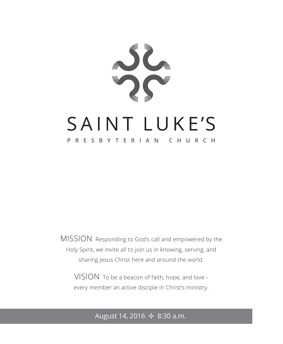

MISSION Responding to God's call and empowered by the Holy Spirit, we invite all to join us in knowing, serving, and sharing Jesus Christ here and around the world.

VISION To be a beacon of faith, hope, and love – every member an active disciple in Christ's ministry.

## August 14, 2016 ✣ 8:30 a.m.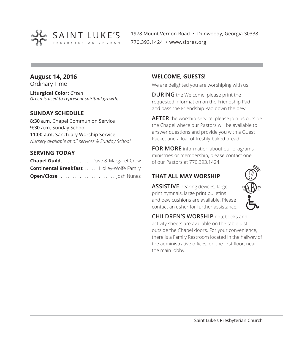

1978 Mount Vernon Road • Dunwoody, Georgia 30338 770.393.1424 • www.slpres.org

### **August 14, 2016**

Ordinary Time

**Liturgical Color:** *Green Green is used to represent spiritual growth.* 

### **SUNDAY SCHEDULE**

**8:30 a.m.** Chapel Communion Service **9:30 a.m.** Sunday School **11:00 a.m.** Sanctuary Worship Service *Nursery available at all services & Sunday School*

### **SERVING TODAY**

| <b>Chapel Guild</b> Dave & Margaret Crow         |  |
|--------------------------------------------------|--|
| <b>Continental Breakfast</b> Holley-Wolfe Family |  |
| <b>Open/Close</b> Josh Nunez                     |  |

### **WELCOME, GUESTS!**

We are delighted you are worshiping with us!

**DURING** the Welcome, please print the requested information on the Friendship Pad and pass the Friendship Pad down the pew.

**AFTER** the worship service, please join us outside the Chapel where our Pastors will be available to answer questions and provide you with a Guest Packet and a loaf of freshly-baked bread.

**FOR MORE** information about our programs, ministries or membership, please contact one of our Pastors at 770.393.1424.

### **THAT ALL MAY WORSHIP**

**ASSISTIVE** hearing devices, large print hymnals, large print bulletins and pew cushions are available. Please contact an usher for further assistance.



**CHILDREN'S WORSHIP** notebooks and activity sheets are available on the table just outside the Chapel doors. For your convenience, there is a Family Restroom located in the hallway of the administrative offices, on the first floor, near the main lobby.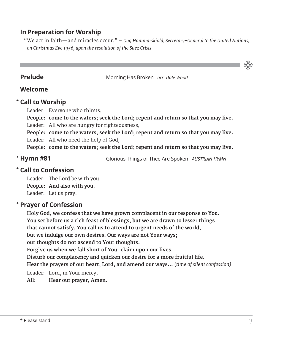## **In Preparation for Worship**

 "We act in faith—and miracles occur." – *Dag Hammarskjold, Secretary-General to the United Nations, on Christmas Eve 1956, upon the resolution of the Suez Crisis*

**Prelude** Morning Has Broken *arr. Dale Wood* 

### **Welcome**

### **Call to Worship** \*

Leader: Everyone who thirsts,

**People: come to the waters; seek the Lord; repent and return so that you may live.**

Leader: All who are hungry for righteousness,

**People: come to the waters; seek the Lord; repent and return so that you may live.**

Leader: All who need the help of God,

**People: come to the waters; seek the Lord; repent and return so that you may live.**

## \* Hymn #81

**Hymn #81** Glorious Things of Thee Are Spoken *AUSTRIAN HYMN*

## **Call to Confession**  \*

Leader: The Lord be with you. **People: And also with you.** Leader: Let us pray.

## **Prayer of Confession**  \*

 **Holy God, we confess that we have grown complacent in our response to You. You set before us a rich feast of blessings, but we are drawn to lesser things that cannot satisfy. You call us to attend to urgent needs of the world, but we indulge our own desires. Our ways are not Your ways; our thoughts do not ascend to Your thoughts. Forgive us when we fall short of Your claim upon our lives. Disturb our complacency and quicken our desire for a more fruitful life. Hear the prayers of our heart, Lord, and amend our ways…** *(time of silent confession)* Leader: Lord, in Your mercy, **All: Hear our prayer, Amen.**

ာင်း<br>သင်္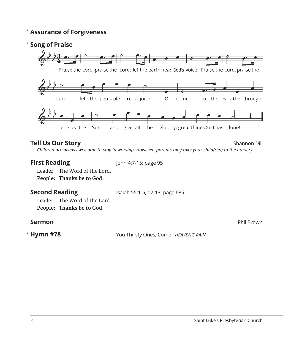## **Assurance of Forgiveness** \*



### **Tell Us Our Story** Shannon Dill

*Children are always welcome to stay in worship. However, parents may take your child(ren) to the nursery.* 

**First Reading** John 4:7-15; page 95

Leader: The Word of the Lord. **People: Thanks be to God.** 

**Second Reading** Isaiah 55:1-5, 12-13; page 685

Leader: The Word of the Lord. **People: Thanks be to God.**

**Sermon** Phil Brown

\* **Hymn #78** You Thirsty Ones, Come *HEAVEN'S RAIN*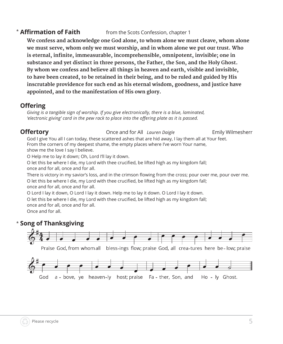### **Affirmation of Faith** from the Scots Confession, chapter 1 \*

 **We confess and acknowledge one God alone, to whom alone we must cleave, whom alone we must serve, whom only we must worship, and in whom alone we put our trust. Who is eternal, infinite, immeasurable, incomprehensible, omnipotent, invisible; one in substance and yet distinct in three persons, the Father, the Son, and the Holy Ghost. By whom we confess and believe all things in heaven and earth, visible and invisible, to have been created, to be retained in their being, and to be ruled and guided by His inscrutable providence for such end as his eternal wisdom, goodness, and justice have appointed, and to the manifestation of His own glory.** 

### **Offering**

*Giving is a tangible sign of worship. If you give electronically, there is a blue, laminated, 'electronic giving' card in the pew rack to place into the offering plate as it is passed.* 

### **Offertory Conce and for All Lauren Daigle Emily Wilmesherr Conce and for All Lauren Daigle**

 God I give You all I can today, these scattered ashes that are hid away, I lay them all at Your feet. From the corners of my deepest shame, the empty places where I've worn Your name, show me the love I say I believe.

O Help me to lay it down; Oh, Lord I'll lay it down.

O let this be where I die, my Lord with thee crucified, be lifted high as my kingdom fall; once and for all, once and for all.

There is victory in my savior's loss, and in the crimson flowing from the cross; pour over me, pour over me. O let this be where I die, my Lord with thee crucified, be lifted high as my kingdom fall; once and for all, once and for all.

O Lord I lay it down, O Lord I lay it down. Help me to lay it down. O Lord I lay it down.

O let this be where I die, my Lord with thee crucified, be lifted high as my kingdom fall; once and for all, once and for all.

Once and for all.

### **Song of Thanksgiving** \*



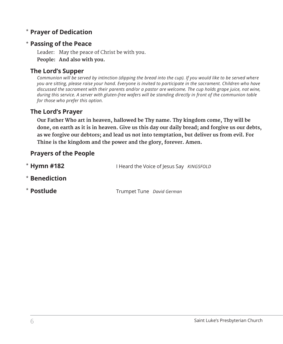## **Prayer of Dedication** \*

### **Passing of the Peace** \*

Leader: May the peace of Christ be with you. **People: And also with you.**

### **The Lord's Supper**

*Communion will be served by intinction (dipping the bread into the cup). If you would like to be served where you are sitting, please raise your hand. Everyone is invited to participate in the sacrament. Children who have discussed the sacrament with their parents and/or a pastor are welcome. The cup holds grape juice, not wine, during this service. A server with gluten-free wafers will be standing directly in front of the communion table for those who prefer this option.*

### **The Lord's Prayer**

 **Our Father Who art in heaven, hallowed be Thy name. Thy kingdom come, Thy will be done, on earth as it is in heaven. Give us this day our daily bread; and forgive us our debts, as we forgive our debtors; and lead us not into temptation, but deliver us from evil. For Thine is the kingdom and the power and the glory, forever. Amen.**

### **Prayers of the People**

| $*$ Hymn #182 | I Heard the Voice of Jesus Say KINGSFOLD |  |
|---------------|------------------------------------------|--|
| * Benediction |                                          |  |
| * Postlude    | Trumpet Tune David German                |  |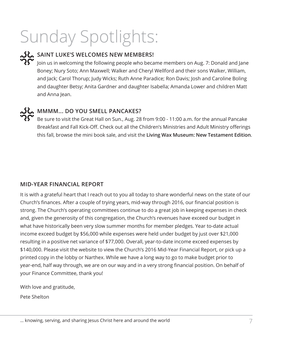# Sunday Spotlights:



# SAINT LUKE'S WELCOMES NEW MEMBERS!

Join us in welcoming the following people who became members on Aug. 7: Donald and Jane Boney; Nury Soto; Ann Maxwell; Walker and Cheryl Wellford and their sons Walker, William, and Jack; Carol Thorup; Judy Wicks; Ruth Anne Paradice; Ron Davis; Josh and Caroline Boling and daughter Betsy; Anita Gardner and daughter Isabella; Amanda Lower and children Matt and Anna Jean.

## **MMMM... DO YOU SMELL PANCAKES?**

Be sure to visit the Great Hall on Sun., Aug. 28 from 9:00 - 11:00 a.m. for the annual Pancake Breakfast and Fall Kick-Off. Check out all the Children's Ministries and Adult Ministry offerings this fall, browse the mini book sale, and visit the **Living Wax Museum: New Testament Edition**.

## **MID-YEAR FINANCIAL REPORT**

It is with a grateful heart that I reach out to you all today to share wonderful news on the state of our Church's finances. After a couple of trying years, mid-way through 2016, our financial position is strong. The Church's operating committees continue to do a great job in keeping expenses in check and, given the generosity of this congregation, the Church's revenues have exceed our budget in what have historically been very slow summer months for member pledges. Year to-date actual income exceed budget by \$56,000 while expenses were held under budget by just over \$21,000 resulting in a positive net variance of \$77,000. Overall, year-to-date income exceed expenses by \$140,000. Please visit the website to view the Church's 2016 Mid-Year Financial Report, or pick up a printed copy in the lobby or Narthex. While we have a long way to go to make budget prior to year-end, half way through, we are on our way and in a very strong financial position. On behalf of your Finance Committee, thank you!

With love and gratitude,

Pete Shelton

<sup>…</sup> knowing, serving, and sharing Jesus Christ here and around the world  $\frac{7}{2}$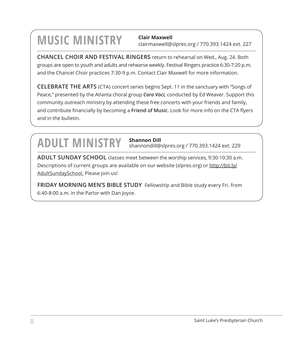# **MUSIC MINISTRY Clair Maxwell**

clairmaxwell@slpres.org / 770.393.1424 ext. 227

**CHANCEL CHOIR AND FESTIVAL RINGERS** return to rehearsal on Wed., Aug. 24. Both groups are open to youth and adults and rehearse weekly. Festival Ringers practice 6:30-7:20 p.m. and the Chancel Choir practices 7:30-9 p.m. Contact Clair Maxwell for more information.

**CELEBRATE THE ARTS** (CTA) concert series begins Sept. 11 in the sanctuary with "Songs of Peace," presented by the Atlanta choral group *Coro Voci,* conducted by Ed Weaver. Support this community outreach ministry by attending these free concerts with your friends and family, and contribute financially by becoming a **Friend of Music**. Look for more info on the CTA flyers and in the bulletin.

# **ADULT MINISTRY Shannon Dill**

shannondill@slpres.org / 770.393.1424 ext. 229

**ADULT SUNDAY SCHOOL** classes meet between the worship services, 9:30-10:30 a.m. Descriptions of current groups are available on our website (slpres.org) or http://bit.ly/ AdultSundaySchool. Please join us!

**FRIDAY MORNING MEN'S BIBLE STUDY** Fellowship and Bible study every Fri. from 6:40-8:00 a.m. in the Parlor with Dan Joyce.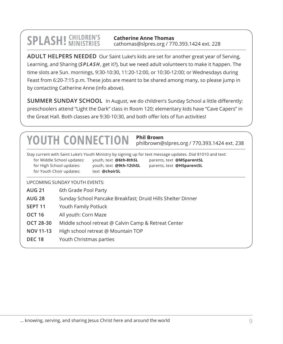### **SPLASH!** CHILDREN'S **Catherine Anne Thomas** cathomas@slpres.org / 770.393.1424 ext. 228

**ADULT HELPERS NEEDED** Our Saint Luke's kids are set for another great year of Serving, Learning, and Sharing (*SPLASH*, get it?), but we need adult volunteers to make it happen. The time slots are Sun. mornings, 9:30-10:30, 11:20-12:00, or 10:30-12:00; or Wednesdays during Feast from 6:20-7:15 p.m. These jobs are meant to be shared among many, so please jump in by contacting Catherine Anne (info above).

**SUMMER SUNDAY SCHOOL** In August, we do children's Sunday School a little differently: preschoolers attend "Light the Dark" class in Room 120; elementary kids have "Cave Capers" in the Great Hall. Both classes are 9:30-10:30, and both offer lots of fun activities!

|                    | <b>Phil Brown</b><br>YOUTH CONNECTION<br>philbrown@slpres.org / 770.393.1424 ext. 238                                                                                                                                                                                                                                            |  |  |
|--------------------|----------------------------------------------------------------------------------------------------------------------------------------------------------------------------------------------------------------------------------------------------------------------------------------------------------------------------------|--|--|
|                    | Stay current with Saint Luke's Youth Ministry by signing up for text message updates. Dial 81010 and text:<br>for Middle School updates:<br>youth, text @6th-8thSL<br>parents, text @MSparentSL<br>for High School updates:<br>youth, text @9th-12thSL<br>parents, text @HSparentSL<br>for Youth Choir updates:<br>text @choirSL |  |  |
|                    | UPCOMING SUNDAY YOUTH EVENTS:                                                                                                                                                                                                                                                                                                    |  |  |
| <b>AUG 21</b>      | 6th Grade Pool Party                                                                                                                                                                                                                                                                                                             |  |  |
| <b>AUG 28</b>      | Sunday School Pancake Breakfast; Druid Hills Shelter Dinner                                                                                                                                                                                                                                                                      |  |  |
| SEPT <sub>11</sub> | Youth Family Potluck                                                                                                                                                                                                                                                                                                             |  |  |
| <b>OCT 16</b>      | All youth: Corn Maze                                                                                                                                                                                                                                                                                                             |  |  |
| OCT 28-30          | Middle school retreat @ Calvin Camp & Retreat Center                                                                                                                                                                                                                                                                             |  |  |
| NOV 11-13          | High school retreat @ Mountain TOP                                                                                                                                                                                                                                                                                               |  |  |
| <b>DEC 18</b>      | Youth Christmas parties                                                                                                                                                                                                                                                                                                          |  |  |
|                    |                                                                                                                                                                                                                                                                                                                                  |  |  |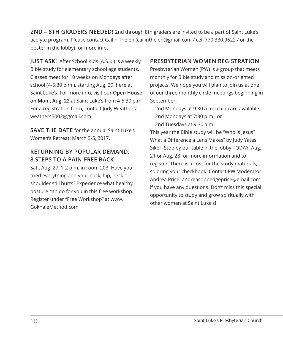**2ND – 8TH GRADERS NEEDED!** 2nd through 8th graders are invited to be a part of Saint Luke's acolyte program. Please contact Cailin Thelen (cailinthelen@gmail.com / cell 770.330.9622 / or the poster in the lobby) for more info.

**JUST ASK!** After School Kids (A.S.K.) is a weekly Bible study for elementary school age students. Classes meet for 10 weeks on Mondays after school (4-5:30 p.m.), starting Aug. 29, here at Saint Luke's. For more info, visit our **Open House on Mon., Aug. 22** at Saint Luke's from 4-5:30 p.m. For a registration form, contact Judy Weathers: weathers5002@gmail.com

**SAVE THE DATE** for the annual Saint Luke's Women's Retreat: March 3-5, 2017.

### **RETURNING BY POPULAR DEMAND: 8 STEPS TO A PAIN-FREE BACK**

Sat., Aug. 27, 1-2 p.m. in room 203: Have you tried everything and your back, hip, neck or shoulder still hurts? Experience what healthy posture can do for you in this free workshop. Register under "Free Workshop" at www. GokhaleMethod.com

### **PRESBYTERIAN WOMEN REGISTRATION**

Presbyterian Women (PW) is a group that meets monthly for Bible study and mission-oriented projects. We hope you will plan to join us at one of our three monthly circle meetings beginning in September:

2nd Mondays at 9:30 a.m. (childcare available); 2nd Mondays at 7:30 p.m.; or 2nd Tuesdays at 9:30 a.m.

This year the Bible study will be "Who is Jesus? What a Difference a Lens Makes" by Judy Yates Siker. Stop by our table in the lobby TODAY, Aug. 21 or Aug. 28 for more information and to register. There is a cost for the study materials, so bring your checkbook. Contact PW Moderator Andrea Price: andreacoppedgeprice@gmail.com if you have any questions. Don't miss this special opportunity to study and grow spiritually with other women at Saint Luke's!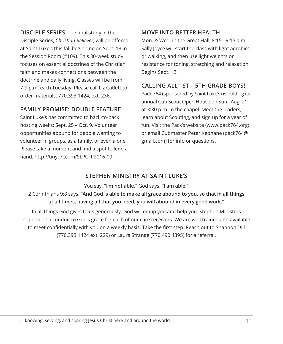**DISCIPLE SERIES** The final study in the Disciple Series, *Christian Believer,* will be offered at Saint Luke's this fall beginning on Sept. 13 in the Session Room (#109). This 30-week study focuses on essential doctrines of the Christian faith and makes connections between the doctrine and daily living. Classes will be from 7-9 p.m. each Tuesday. Please call Liz Catlett to order materials: 770.393.1424, ext. 236.

### **FAMILY PROMISE: DOUBLE FEATURE**

Saint Luke's has committed to back-to-back hosting weeks: Sept. 25 – Oct. 9. Volunteer opportunities abound for people wanting to volunteer in groups, as a family, or even alone. Please take a moment and find a spot to lend a hand: http://tinyurl.com/SLPCFP2016-09.

### **MOVE INTO BETTER HEALTH**

Mon. & Wed. in the Great Hall, 8:15 - 9:15 a.m. Sally Joyce will start the class with light aerobics or walking, and then use light weights or resistance for toning, stretching and relaxation. Begins Sept. 12.

### **CALLING ALL 1ST – 5TH GRADE BOYS!**

Pack 764 (sponsored by Saint Luke's) is holding its annual Cub Scout Open House on Sun., Aug. 21 at 3:30 p.m. in the chapel. Meet the leaders, learn about Scouting, and sign up for a year of fun. Visit the Pack's website (www.pack764.org) or email Cubmaster Peter Keohane (pack764@ gmail.com) for info or questions.

### **STEPHEN MINISTRY AT SAINT LUKE'S**

You say, **"I'm not able."** God says, **"I am able."**

2 Corinthians 9:8 says, **"And God is able to make all grace abound to you, so that in all things at all times, having all that you need, you will abound in every good work."** 

In all things God gives to us generously. God will equip you and help you. Stephen Ministers hope to be a conduit to God's grace for each of our care receivers. We are well trained and available to meet confidentially with you on a weekly basis. Take the first step. Reach out to Shannon Dill (770.393.1424 ext. 229) or Laura Strange (770.490.4395) for a referral.